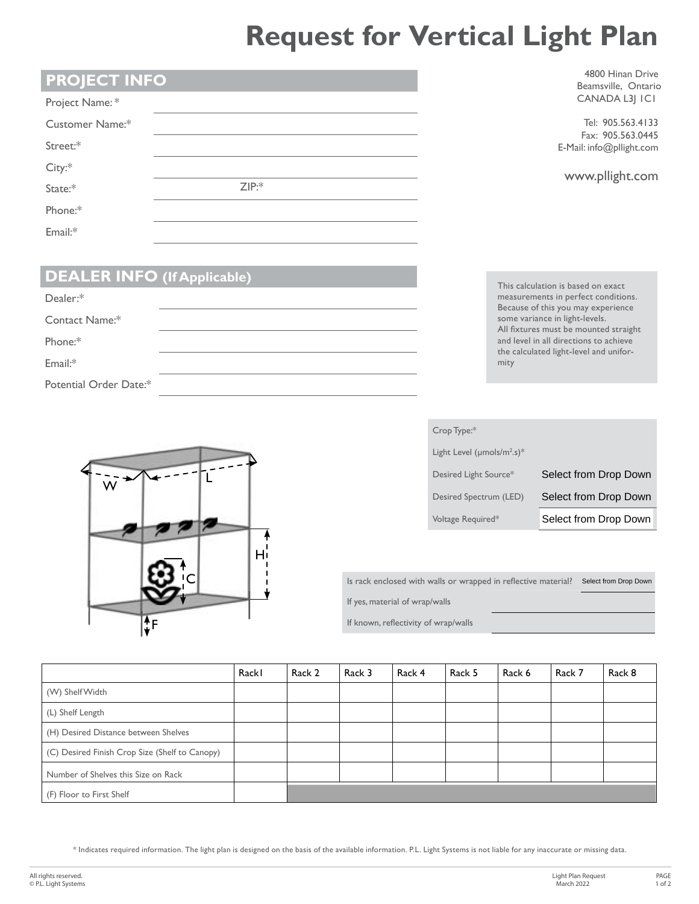## **Request for Vertical Light Plan**

|  | <b>PROJECT INFO</b> |
|--|---------------------|
|  |                     |

| Project Name:*  |      |  |
|-----------------|------|--|
| Customer Name:* |      |  |
| Street:*        |      |  |
| City:           |      |  |
| State:*         | ZIP: |  |
| Phone:*         |      |  |
| Email:*         |      |  |

4800 Hinan Drive Beamsville, Ontario CANADA L3J 1C1

Tel: 905.563.4133 Fax: 905.563.0445 E-Mail: info@pllight.com

|  | www.pllight.com |
|--|-----------------|
|--|-----------------|

## **DEALER INFO (If Applicable)**

| Dealer:*               |  |
|------------------------|--|
| Contact Name:*         |  |
| Phone:*                |  |
| $Email.*$              |  |
| Potential Order Date:* |  |

L W Ą  $H_1$ C  $\mathbf{f}$ F

This calculation is based on exact measurements in perfect conditions. Because of this you may experience some variance in light-levels. All fixtures must be mounted straight and level in all directions to achieve the calculated light-level and uniformity

| Crop Type:*                                  |                       |
|----------------------------------------------|-----------------------|
| Light Level ( $\mu$ mols/m <sup>2</sup> .s)* |                       |
| Desired Light Source*                        | Select from Drop Down |
| Desired Spectrum (LED)                       | Select from Drop Down |
| Voltage Required*                            | Select from Drop Down |
|                                              |                       |
|                                              |                       |
| walls or wrapped in reflective material?     | Select from Drop Down |

Is rack enclosed with walls or wrapped in reflective material? Select from Drop Down If yes, material of wrap/walls

If known, reflectivity of wrap/walls

|                                                | Rackl | Rack 2 | Rack 3 | Rack 4 | Rack 5 | Rack 6 | Rack 7 | Rack 8 |
|------------------------------------------------|-------|--------|--------|--------|--------|--------|--------|--------|
| (W) Shelf Width                                |       |        |        |        |        |        |        |        |
| (L) Shelf Length                               |       |        |        |        |        |        |        |        |
| (H) Desired Distance between Shelves           |       |        |        |        |        |        |        |        |
| (C) Desired Finish Crop Size (Shelf to Canopy) |       |        |        |        |        |        |        |        |
| Number of Shelves this Size on Rack            |       |        |        |        |        |        |        |        |
| (F) Floor to First Shelf                       |       |        |        |        |        |        |        |        |

\* Indicates required information. The light plan is designed on the basis of the available information. P.L. Light Systems is not liable for any inaccurate or missing data.